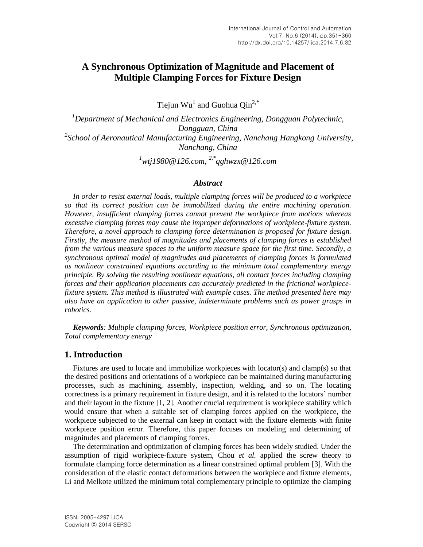# **A Synchronous Optimization of Magnitude and Placement of Multiple Clamping Forces for Fixture Design**

Tiejun  $Wu^1$  and Guohua  $Qin^{2,*}$ 

*<sup>1</sup>Department of Mechanical and Electronics Engineering, Dongguan Polytechnic, Dongguan, China 2 School of Aeronautical Manufacturing Engineering, Nanchang Hangkong University, Nanchang, China*

*<sup>1</sup>wtj1980@126.com, 2,\*qghwzx@126.com*

### *Abstract*

*In order to resist external loads, multiple clamping forces will be produced to a workpiece so that its correct position can be immobilized during the entire machining operation. However, insufficient clamping forces cannot prevent the workpiece from motions whereas excessive clamping forces may cause the improper deformations of workpiece-fixture system. Therefore, a novel approach to clamping force determination is proposed for fixture design. Firstly, the measure method of magnitudes and placements of clamping forces is established from the various measure spaces to the uniform measure space for the first time. Secondly, a synchronous optimal model of magnitudes and placements of clamping forces is formulated as nonlinear constrained equations according to the minimum total complementary energy principle. By solving the resulting nonlinear equations, all contact forces including clamping forces and their application placements can accurately predicted in the frictional workpiecefixture system. This method is illustrated with example cases. The method presented here may also have an application to other passive, indeterminate problems such as power grasps in robotics.*

*Keywords: Multiple clamping forces, Workpiece position error, Synchronous optimization, Total complementary energy*

# **1. Introduction**

Fixtures are used to locate and immobilize workpieces with locator(s) and clamp(s) so that the desired positions and orientations of a workpiece can be maintained during manufacturing processes, such as machining, assembly, inspection, welding, and so on. The locating correctness is a primary requirement in fixture design, and it is related to the locators' number and their layout in the fixture [1, 2]. Another crucial requirement is workpiece stability which would ensure that when a suitable set of clamping forces applied on the workpiece, the workpiece subjected to the external can keep in contact with the fixture elements with finite workpiece position error. Therefore, this paper focuses on modeling and determining of magnitudes and placements of clamping forces.

The determination and optimization of clamping forces has been widely studied. Under the assumption of rigid workpiece-fixture system, Chou *et al.* applied the screw theory to formulate clamping force determination as a linear constrained optimal problem [3]. With the consideration of the elastic contact deformations between the workpiece and fixture elements, Li and Melkote utilized the minimum total complementary principle to optimize the clamping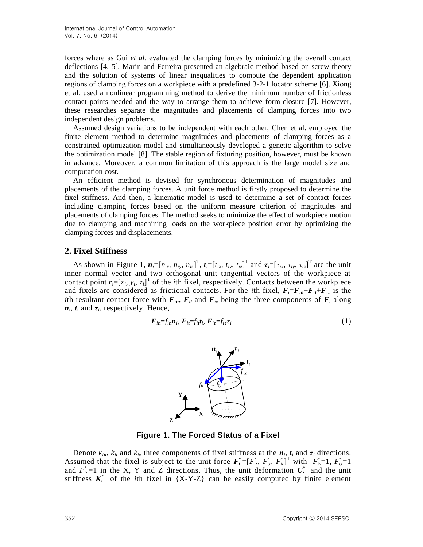forces where as Gui *et al.* evaluated the clamping forces by minimizing the overall contact deflections [4, 5]. Marin and Ferreira presented an algebraic method based on screw theory and the solution of systems of linear inequalities to compute the dependent application regions of clamping forces on a workpiece with a predefined 3-2-1 locator scheme [6]. Xiong et al. used a nonlinear programming method to derive the minimum number of frictionless contact points needed and the way to arrange them to achieve form-closure [7]. However, these researches separate the magnitudes and placements of clamping forces into two independent design problems.

Assumed design variations to be independent with each other, Chen et al. employed the finite element method to determine magnitudes and placements of clamping forces as a constrained optimization model and simultaneously developed a genetic algorithm to solve the optimization model [8]. The stable region of fixturing position, however, must be known in advance. Moreover, a common limitation of this approach is the large model size and computation cost.

An efficient method is devised for synchronous determination of magnitudes and placements of the clamping forces. A unit force method is firstly proposed to determine the fixel stiffness. And then, a kinematic model is used to determine a set of contact forces including clamping forces based on the uniform measure criterion of magnitudes and placements of clamping forces. The method seeks to minimize the effect of workpiece motion due to clamping and machining loads on the workpiece position error by optimizing the clamping forces and displacements.

# **2. Fixel Stiffness**

As shown in Figure 1,  $n_i=[n_{ix}, n_{iy}, n_{iz}]^T$ ,  $t_i=[t_{ix}, t_{iy}, t_{iz}]^T$  and  $\tau_i=[\tau_{ix}, \tau_{iy}, \tau_{iz}]^T$  are the unit inner normal vector and two orthogonal unit tangential vectors of the workpiece at contact point  $r_i = [x_i, y_i, z_i]^T$  of the *i*th fixel, respectively. Contacts between the workpiece and fixels are considered as frictional contacts. For the *i*th fixel,  $F_i = F_{in} + F_{it} + F_{it}$  is the *i*th resultant contact force with  $F_{in}$ ,  $F_{it}$  and  $F_{it}$  being the three components of  $F_i$  along  $n_i$ ,  $t_i$  and  $\tau_i$ , respectively. Hence,

$$
\boldsymbol{F}_{in} = f_{in} \boldsymbol{n}_i, \boldsymbol{F}_{it} = f_{it} \boldsymbol{t}_i, \boldsymbol{F}_{it} = f_{it} \boldsymbol{\tau}_i \tag{1}
$$



**Figure 1. The Forced Status of a Fixel**

Denote  $k_{in}$ ,  $k_{it}$  and  $k_{it}$  three components of fixel stiffness at the  $n_i$ ,  $t_i$  and  $\tau_i$  directions. Assumed that the fixel is subject to the unit force  $\mathbf{F}_i^*=[F_{ix}^*, F_{iy}^*, F_{iz}^*]^T$  with  $F_{ix}^*=1, F_{iy}^*=1$ and  $F_{iz}^*$  =1 in the X, Y and Z directions. Thus, the unit deformation  $U_i^*$  and the unit stiffness  $K_i^*$  of the *i*th fixel in  $\{X-Y-Z\}$  can be easily computed by finite element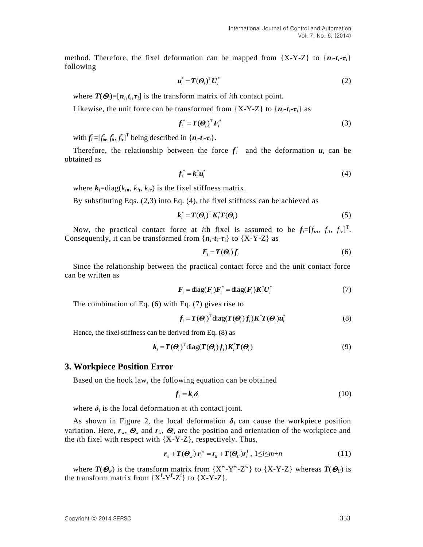method. Therefore, the fixel deformation can be mapped from  $\{X-Y-Z\}$  to  $\{n_i-t_i-\tau_i\}$ following

$$
\boldsymbol{u}_i^* = \boldsymbol{T}(\boldsymbol{\Theta}_i)^{\mathrm{T}} \boldsymbol{U}_i^* \tag{2}
$$

where  $T(\mathcal{O}_i) = [n_i, t_i, \tau_i]$  is the transform matrix of *i*th contact point.

Likewise, the unit force can be transformed from  $\{X-Y-Z\}$  to  $\{n_i-t_i-\tau_i\}$  as

$$
\boldsymbol{f}_i^* = \boldsymbol{T}(\boldsymbol{\Theta}_i)^{\mathrm{T}} \boldsymbol{F}_i^* \tag{3}
$$

with  $f_i^* = [f_{in}^*, f_i^*, f_{it}^*]^T$  being described in  $\{n_i \cdot t_i - \tau_i\}$ .

Therefore, the relationship between the force  $f_i^*$  and the deformation  $u_i$  can be obtained as

$$
f_i^* = k_i^* \boldsymbol{u}_i^* \tag{4}
$$

where  $k_i$ =diag( $k_{in}$ ,  $k_{it}$ ,  $k_{it}$ ) is the fixel stiffness matrix.

By substituting Eqs. (2,3) into Eq. (4), the fixel stiffness can be achieved as

$$
\boldsymbol{k}_{i}^{*} = \boldsymbol{T}(\boldsymbol{\Theta}_{i})^{\mathrm{T}} \boldsymbol{K}_{i}^{*} \boldsymbol{T}(\boldsymbol{\Theta}_{i})
$$
\n(5)

Now, the practical contact force at *i*th fixel is assumed to be  $f_i = [f_{in}, f_i, f_{i\tau}]^T$ . Consequently, it can be transformed from  $\{n_i - t_i - \tau_i\}$  to  $\{X - Y - Z\}$  as

$$
\boldsymbol{F}_{i} = \boldsymbol{T}(\boldsymbol{\Theta}_{i})\boldsymbol{f}_{i} \tag{6}
$$

Since the relationship between the practical contact force and the unit contact force can be written as

$$
\boldsymbol{F}_{i} = \text{diag}(\boldsymbol{F}_{i})\boldsymbol{F}_{i}^{*} = \text{diag}(\boldsymbol{F}_{i})\boldsymbol{K}_{i}^{*}\boldsymbol{U}_{i}^{*} \tag{7}
$$

The combination of Eq. (6) with Eq. (7) gives rise to

$$
f_i = T(\boldsymbol{\Theta}_i)^{\mathrm{T}} \text{diag}(T(\boldsymbol{\Theta}_i) f_i) \boldsymbol{K}_i^* T(\boldsymbol{\Theta}_i) \boldsymbol{u}_i^*
$$
(8)

Hence, the fixel stiffness can be derived from Eq. (8) as

$$
\boldsymbol{k}_{i} = \boldsymbol{T}(\boldsymbol{\Theta}_{i})^{\mathrm{T}} \text{diag}(\boldsymbol{T}(\boldsymbol{\Theta}_{i}) \boldsymbol{f}_{i}) \boldsymbol{K}_{i}^{\mathrm{T}} \boldsymbol{T}(\boldsymbol{\Theta}_{i})
$$
\n(9)

### **3. Workpiece Position Error**

Based on the hook law, the following equation can be obtained

$$
\mathbf{f}_i = \mathbf{k}_i \delta_i \tag{10}
$$

where  $\delta_i$  is the local deformation at *i*th contact joint.

As shown in Figure 2, the local deformation  $\delta_i$  can cause the workpiece position variation. Here,  $r_w$ ,  $\mathcal{O}_w$  and  $r_{fi}$ ,  $\mathcal{O}_fi$  are the position and orientation of the workpiece and the *i*th fixel with respect with {X-Y-Z}, respectively. Thus,

$$
\boldsymbol{r}_{\mathrm{w}} + \boldsymbol{T}(\boldsymbol{\Theta}_{\mathrm{w}}) \, \boldsymbol{r}_{i}^{\mathrm{w}} = \boldsymbol{r}_{\mathrm{fi}} + \boldsymbol{T}(\boldsymbol{\Theta}_{\mathrm{fi}}) \boldsymbol{r}_{i}^{\mathrm{f}}, \, 1 \leq i \leq m+n \tag{11}
$$

where  $T(\mathcal{O}_w)$  is the transform matrix from  $\{X^w - Y^w - Z^w\}$  to  $\{X - Y - Z\}$  whereas  $T(\mathcal{O}_{fi})$  is the transform matrix from  ${X^f-Y^f-Z^f}$  to  ${X-Y-Z}$ .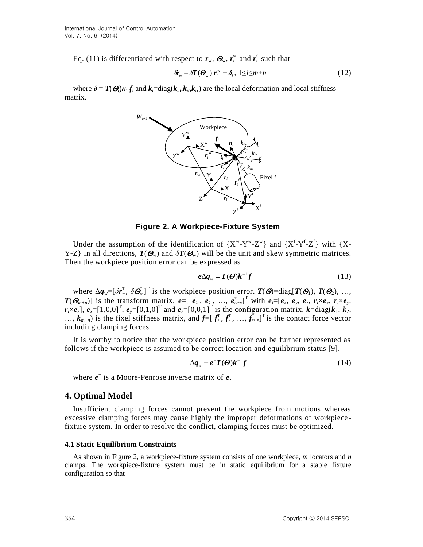Eq. (11) is differentiated with respect to  $r_w$ ,  $\mathcal{O}_w$ ,  $r_i^w$  and  $r_i^f$  such that

$$
\delta \mathbf{r}_{\mathrm{w}} + \delta \mathbf{T}(\mathbf{\Theta}_{\mathrm{w}}) \mathbf{r}_{i}^{\mathrm{w}} = \delta_{i}, 1 \leq i \leq m+n
$$
\n(12)

where  $\delta_i = T(\mathcal{O}_i)\kappa_i f_i$  and  $k_i = \text{diag}(k_{in}, k_{it}, k_{it})$  are the local deformation and local stiffness matrix.



**Figure 2. A Workpiece-Fixture System**

Under the assumption of the identification of  $\{X^w - Y^w - Z^w\}$  and  $\{X^f - Y^f - Z^f\}$  with  $\{X - Y^g\}$ Y-Z} in all directions,  $T(\mathcal{O}_w)$  and  $\delta T(\mathcal{O}_w)$  will be the unit and skew symmetric matrices. Then the workpiece position error can be expressed as

$$
e\Delta q_{\rm w}=T(\Theta)k^{-1}f\tag{13}
$$

where  $\Delta q_w = [\delta r_w^{\mathrm{T}}, \delta \mathcal{O}_w^{\mathrm{T}}]^{\mathrm{T}}$  is the workpiece position error.  $T(\mathcal{O}) = \text{diag}[T(\mathcal{O}_1), T(\mathcal{O}_2), ...,$  $T(\mathcal{O}_{m+n})$  is the transform matrix,  $e=[e_1^T, e_2^T, ..., e_{m+n}^T]^T$  with  $e_i=[e_x, e_y, e_z, r_i \times e_x, r_i \times e_y,$  $r_i \times e_z$ ],  $e_x = [1,0,0]^T$ ,  $e_y = [0,1,0]^T$  and  $e_z = [0,0,1]^T$  is the configuration matrix,  $k = diag(k_1, k_2, \ldots, k_m)$  $\ldots$ ,  $\mathbf{k}_{m+n}$ ) is the fixel stiffness matrix, and  $\mathbf{f} = [\mathbf{f}_1^T, \mathbf{f}_2^T, \ldots, \mathbf{f}_{m+n}^T]^T$  is the contact force vector including clamping forces.

It is worthy to notice that the workpiece position error can be further represented as follows if the workpiece is assumed to be correct location and equilibrium status [9].

$$
\Delta q_{\rm w} = e^+ T(\Theta) k^{-1} f \tag{14}
$$

where  $e^+$  is a Moore-Penrose inverse matrix of  $e$ .

## **4. Optimal Model**

Insufficient clamping forces cannot prevent the workpiece from motions whereas excessive clamping forces may cause highly the improper deformations of workpiece fixture system. In order to resolve the conflict, clamping forces must be optimized.

### **4.1 Static Equilibrium Constraints**

As shown in Figure 2, a workpiece-fixture system consists of one workpiece, *m* locators and *n* clamps. The workpiece-fixture system must be in static equilibrium for a stable fixture configuration so that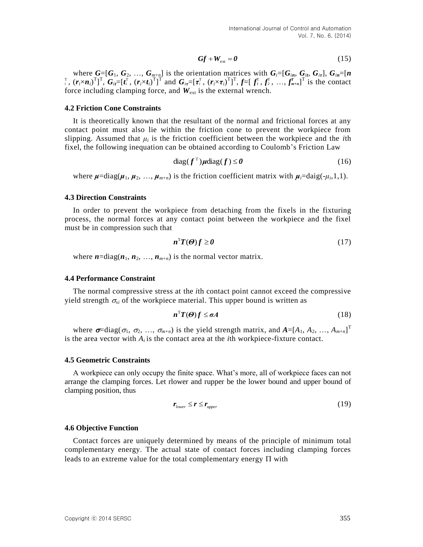$$
Gf + W_{\text{ext}} = 0 \tag{15}
$$

where  $G=[G_1, G_2, ..., G_{m+n}]$  is the orientation matrices with  $G_i=[G_{in}, G_{it}, G_{i\tau}], G_{in}=[n]$  $\mathbf{G}_{i}^{\mathrm{T}}$ ,  $(r_{i} \times n_{i})^{\mathrm{T}}$ ],  $G_{ii} = [t_{i}^{\mathrm{T}}$ ,  $(r_{i} \times t_{i})^{\mathrm{T}}]^{\mathrm{T}}$  and  $G_{i\tau} = [\tau_{i}^{\mathrm{T}}$ ,  $(r_{i} \times \tau_{i})^{\mathrm{T}}]^{\mathrm{T}}$ ,  $f = [f_{i}^{\mathrm{T}}$ ,  $f_{2}^{\mathrm{T}}$ , ...,  $f_{m+n}^{\mathrm{T}}]^{\mathrm{T}}$  is the contact force including clamping force, and *W*ext is the external wrench.

#### **4.2 Friction Cone Constraints**

where  $G = \{G_1, G_2, ..., G_{n-1}\}$  is the cristmation matrices with  $G_2 = \{G_2, G_3\}$ .  $G_3 = \{G_1, G_2, ..., G_{n-1}\}$  is the cristmation matrices with  $G_3 = \{G_1, G_2, ..., G_{n-1}\}$ .  $G_2 = \{G_1, G_2, ..., G_{n-1}\}$  and  $G_3 = \{F_1, G_2, ..., F_n\}$ .  $\{F$ It is theoretically known that the resultant of the normal and frictional forces at any contact point must also lie within the friction cone to prevent the workpiece from slipping. Assumed that  $\mu_i$  is the friction coefficient between the workpiece and the *i*th fixel, the following inequation can be obtained according to Coulomb's Friction Law

$$
diag(f^T)\mu diag(f) \le 0
$$
 (16)

where  $\mu = \text{diag}(\mu_1, \mu_2, \ldots, \mu_{m+n})$  is the friction coefficient matrix with  $\mu_i = \text{diag}(-\mu_i, 1, 1)$ .

### **4.3 Direction Constraints**

In order to prevent the workpiece from detaching from the fixels in the fixturing process, the normal forces at any contact point between the workpiece and the fixel must be in compression such that

$$
\boldsymbol{n}^{\mathrm{T}}\boldsymbol{T}(\boldsymbol{\Theta})\boldsymbol{f}\geq\boldsymbol{0}\tag{17}
$$

where  $n = diag(n_1, n_2, ..., n_{m+n})$  is the normal vector matrix.

### **4.4 Performance Constraint**

The normal compressive stress at the *i*th contact point cannot exceed the compressive yield strength  $\sigma_{si}$  of the workpiece material. This upper bound is written as

$$
\boldsymbol{n}^{\mathrm{T}}\boldsymbol{T}(\boldsymbol{\Theta})\boldsymbol{f} \leq \boldsymbol{\sigma}\boldsymbol{A} \tag{18}
$$

where  $\sigma$ =diag( $\sigma_1, \sigma_2, ..., \sigma_{m+n}$ ) is the yield strength matrix, and  $A = [A_1, A_2, ..., A_{m+n}]^T$ is the area vector with  $A_i$  is the contact area at the *i*th workpiece-fixture contact.

#### **4.5 Geometric Constraints**

A workpiece can only occupy the finite space. What's more, all of workpiece faces can not arrange the clamping forces. Let rlower and rupper be the lower bound and upper bound of clamping position, thus

$$
r_{lower} \le r \le r_{upper} \tag{19}
$$

#### **4.6 Objective Function**

Contact forces are uniquely determined by means of the principle of minimum total complementary energy. The actual state of contact forces including clamping forces leads to an extreme value for the total complementary energy  $\Pi$  with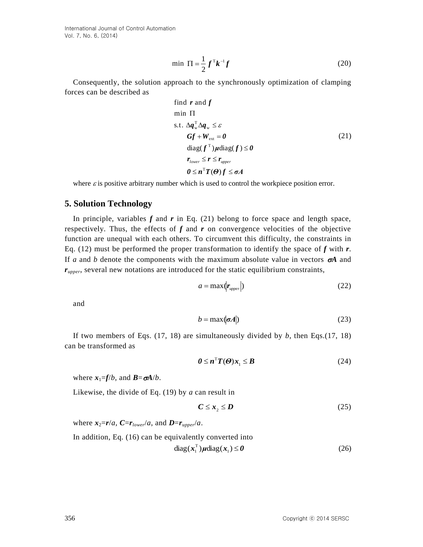$$
\min \Pi = \frac{1}{2} \boldsymbol{f}^{\mathrm{T}} \boldsymbol{k}^{-1} \boldsymbol{f} \tag{20}
$$

Consequently, the solution approach to the synchronously optimization of clamping forces can be described as

find 
$$
r
$$
 and  $f$   
\nmin  $\Pi$   
\ns.t.  $\Delta q_w^T \Delta q_w \leq \varepsilon$   
\n $Gf + W_{ext} = 0$   
\n $diag(f^T) \mu diag(f) \leq 0$   
\n $r_{lower} \leq r \leq r_{upper}$   
\n $0 \leq n^T T(\Theta) f \leq \sigma A$  (21)

where  $\varepsilon$  is positive arbitrary number which is used to control the workpiece position error.

## **5. Solution Technology**

In principle, variables  $f$  and  $r$  in Eq. (21) belong to force space and length space, respectively. Thus, the effects of *f* and *r* on convergence velocities of the objective function are unequal with each others. To circumvent this difficulty, the constraints in Eq. (12) must be performed the proper transformation to identify the space of *f* with *r*. If *a* and *b* denote the components with the maximum absolute value in vectors  $\sigma A$  and *rupper*, several new notations are introduced for the static equilibrium constraints,

$$
a = \max(r_{upper})
$$
 (22)

and

$$
b = \max(\sigma A) \tag{23}
$$

If two members of Eqs. (17, 18) are simultaneously divided by *b*, then Eqs.(17, 18) can be transformed as

$$
0 \leq n^{\mathrm{T}} T(\Theta) x_1 \leq B \tag{24}
$$

where  $x_1 = f/b$ , and  $B = \sigma A/b$ .

Likewise, the divide of Eq. (19) by *a* can result in

$$
C \leq x_2 \leq D \tag{25}
$$

where  $\mathbf{x}_2 = \mathbf{r}/a$ ,  $\mathbf{C} = \mathbf{r}_{lower}/a$ , and  $\mathbf{D} = \mathbf{r}_{upper}/a$ .

In addition, Eq. (16) can be equivalently converted into

$$
diag(\boldsymbol{x}_1^T)\boldsymbol{\mu}diag(\boldsymbol{x}_1) \leq \boldsymbol{0}
$$
 (26)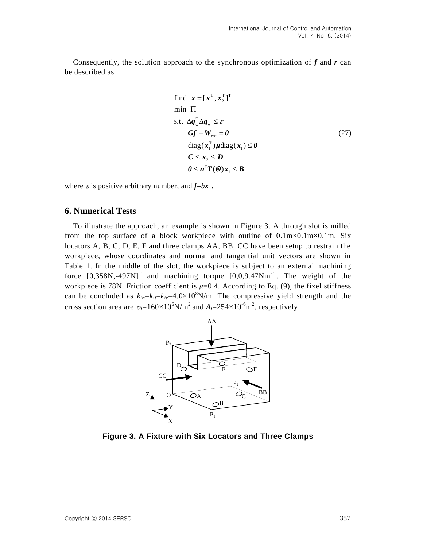Consequently, the solution approach to the synchronous optimization of  $f$  and  $r$  can be described as

find 
$$
\mathbf{x} = [\mathbf{x}_1^T, \mathbf{x}_2^T]^T
$$
  
\nmin  $\Pi$   
\ns.t.  $\Delta \mathbf{q}_w^T \Delta \mathbf{q}_w \leq \varepsilon$   
\n $Gf + W_{ext} = 0$   
\n $diag(\mathbf{x}_1^T) \mu diag(\mathbf{x}_1) \leq 0$   
\n $C \leq \mathbf{x}_2 \leq D$   
\n $0 \leq n^T \mathbf{T}(\Theta) \mathbf{x}_1 \leq B$ 

where  $\varepsilon$  is positive arbitrary number, and  $f=bx_1$ .

# **6. Numerical Tests**

To illustrate the approach, an example is shown in Figure 3. A through slot is milled from the top surface of a block workpiece with outline of 0.1m×0.1m×0.1m. Six locators A, B, C, D, E, F and three clamps AA, BB, CC have been setup to restrain the workpiece, whose coordinates and normal and tangential unit vectors are shown in Table 1. In the middle of the slot, the workpiece is subject to an external machining force  $[0,358N,-497N]^T$  and machining torque  $[0,0,9.47Nm]^T$ . The weight of the workpiece is 78N. Friction coefficient is  $\mu$ =0.4. According to Eq. (9), the fixel stiffness can be concluded as  $k_{in} = k_{it} = 4.0 \times 10^8$ N/m. The compressive yield strength and the cross section area are  $\sigma_i = 160 \times 10^6$ N/m<sup>2</sup> and  $A_i = 254 \times 10^{-6}$  m<sup>2</sup>, respectively.



**Figure 3. A Fixture with Six Locators and Three Clamps**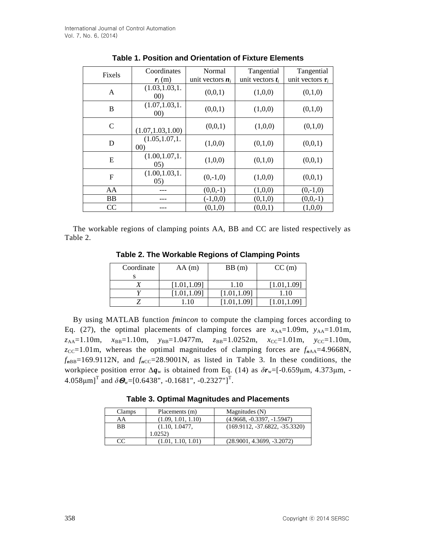|               | Coordinates              | Normal             | Tangential         | Tangential            |
|---------------|--------------------------|--------------------|--------------------|-----------------------|
| Fixels        | $\mathbf{r}_i(m)$        | unit vectors $n_i$ | unit vectors $t_i$ | unit vectors $\tau_i$ |
| A             | (1.03, 1.03, 1.<br>(00)  | (0,0,1)            | (1,0,0)            | (0,1,0)               |
| B             | (1.07, 1.03, 1.<br>(00)  | (0,0,1)            | (1,0,0)            | (0,1,0)               |
| $\mathcal{C}$ | (1.07, 1.03, 1.00)       | (0,0,1)            | (1,0,0)            | (0,1,0)               |
| D             | (1.05, 1.07, 1.<br>00)   | (1,0,0)            | (0,1,0)            | (0,0,1)               |
| E             | (1.00, 1.07, 1.<br>(05)  | (1,0,0)            | (0,1,0)            | (0,0,1)               |
| F             | (1.00, 1.03, 1.<br>(0.5) | $(0,-1,0)$         | (1,0,0)            | (0,0,1)               |
| AA            |                          | $(0,0,-1)$         | (1,0,0)            | $(0,-1,0)$            |
| <b>BB</b>     |                          | $(-1,0,0)$         | (0,1,0)            | $(0,0,-1)$            |
| CC            |                          | (0,1,0)            | (0,0,1)            | (1,0,0)               |

| <b>Table 1. Position and Orientation of Fixture Elements</b> |  |  |
|--------------------------------------------------------------|--|--|
|--------------------------------------------------------------|--|--|

The workable regions of clamping points AA, BB and CC are listed respectively as Table 2.

**Table 2. The Workable Regions of Clamping Points**

| Coordinate | AA(m)          | BB(m)        | CC(m)        |
|------------|----------------|--------------|--------------|
|            |                |              |              |
|            | [1.01, 1.09]   | 1.10         | [1.01, 1.09] |
|            | $1.01, 1.09$ ] | [1.01, 1.09] | 1.10         |
|            | 1.10           | [1.01, 1.09] | (1.01, 1.09) |

By using MATLAB function *fmincon* to compute the clamping forces according to Eq. (27), the optimal placements of clamping forces are  $x_{AA} = 1.09$ m,  $y_{AA} = 1.01$ m,  $z_{AA} = 1.10$ m,  $x_{BB} = 1.10$ m,  $y_{BB} = 1.0477$ m,  $z_{BB} = 1.0252$ m,  $x_{CC} = 1.01$ m,  $y_{CC} = 1.10$ m,  $z_{\text{CC}}$ =1.01m, whereas the optimal magnitudes of clamping forces are  $f_{n\text{AA}}$ =4.9668N,  $f_{nBB}=169.9112N$ , and  $f_{nCC}=28.9001N$ , as listed in Table 3. In these conditions, the workpiece position error  $\Delta q_w$  is obtained from Eq. (14) as  $\delta r_w = [-0.659 \mu m, 4.373 \mu m, -1.373 \mu m]$ 4.058μm]<sup>T</sup> and  $\delta$ **Θ**,,=[0.6438", -0.1681", -0.2327"]<sup>T</sup>.

**Table 3. Optimal Magnitudes and Placements**

| <b>Clamps</b> | Placements (m)     | Magnitudes $(N)$                 |
|---------------|--------------------|----------------------------------|
| AΑ            | (1.09, 1.01, 1.10) | $(4.9668, -0.3397, -1.5947)$     |
| <b>BB</b>     | (1.10, 1.0477,     | $(169.9112, -37.6822, -35.3320)$ |
|               | 1.0252)            |                                  |
|               | (1.01, 1.10, 1.01) | $(28.9001, 4.3699, -3.2072)$     |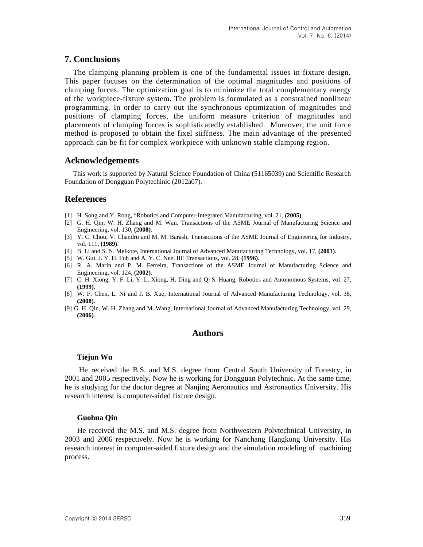# **7. Conclusions**

The clamping planning problem is one of the fundamental issues in fixture design. This paper focuses on the determination of the optimal magnitudes and positions of clamping forces. The optimization goal is to minimize the total complementary energy of the workpiece-fixture system. The problem is formulated as a constrained nonlinear programming. In order to carry out the synchronous optimization of magnitudes and positions of clamping forces, the uniform measure criterion of magnitudes and placements of clamping forces is sophisticatedly established. Moreover, the unit force method is proposed to obtain the fixel stiffness. The main advantage of the presented approach can be fit for complex workpiece with unknown stable clamping region.

## **Acknowledgements**

This work is supported by Natural Science Foundation of China (51165039) and Scientific Research Foundation of Dongguan Polytechinic (2012a07).

# **References**

- [1] H. Song and Y. Rong, "Robotics and Computer-Integrated Manufacturing, vol. 21, **(2005)**.
- [2] G. H. Qin, W. H. Zhang and M. Wan, Transactions of the ASME Journal of Manufacturing Science and Engineering, vol. 130, **(2008)**.
- [3] Y. C. Chou, V. Chandru and M. M. Barash, Transactions of the ASME Journal of Engineering for Industry, vol. 111, **(1989)**.
- [4] B. Li and S. N. Melkote, International Journal of Advanced Manufacturing Technology, vol. 17, **(2001)**.
- [5] W. Gui, J. Y. H. Fuh and A. Y. C. Nee, IIE Transactions, vol. 28, **(1996)**.
- [6] R. A. Marin and P. M. Ferreira, Transactions of the ASME Journal of Manufacturing Science and Engineering, vol. 124, **(2002)**.
- [7] C. H. Xiong, Y. F. Li, Y. L. Xiong, H. Ding and Q. S. Huang, Robotics and Autonomous Systems, vol. 27, **(1999)**.
- [8] W. F. Chen, L. Ni and J. B. Xue, International Journal of Advanced Manufacturing Technology, vol. 38, **(2008)**.
- [9] G. H. Qin, W. H. Zhang and M. Wang, International Journal of Advanced Manufacturing Technology, vol. 29, **(2006)**.

# **Authors**

### **Tiejun Wu**

He received the B.S. and M.S. degree from Central South University of Forestry, in 2001 and 2005 respectively. Now he is working for Dongguan Polytechnic. At the same time, he is studying for the doctor degree at Nanjing Aeronautics and Astronautics University. His research interest is computer-aided fixture design.

### **Guohua Qin**

He received the M.S. and M.S. degree from Northwestern Polytechnical University, in 2003 and 2006 respectively. Now he is working for Nanchang Hangkong University. His research interest in computer-aided fixture design and the simulation modeling of machining process.